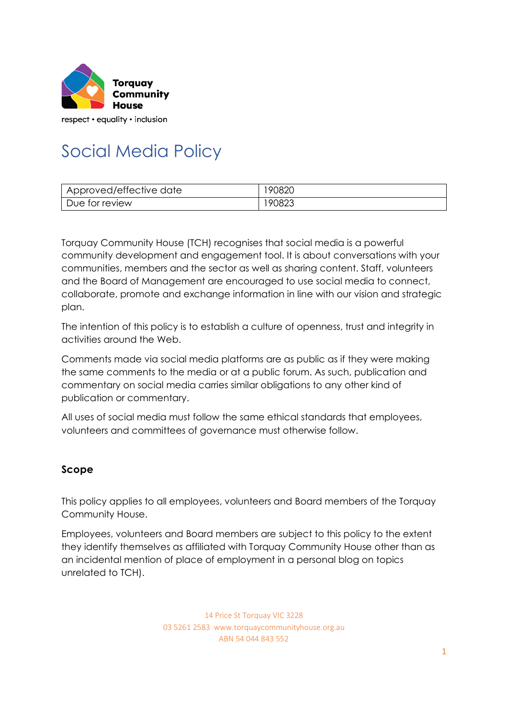

respect • equality • inclusion

# Social Media Policy

| Approved/effective date | 90820 |
|-------------------------|-------|
| Due for review          | 90823 |

Torquay Community House (TCH) recognises that social media is a powerful community development and engagement tool. It is about conversations with your communities, members and the sector as well as sharing content. Staff, volunteers and the Board of Management are encouraged to use social media to connect, collaborate, promote and exchange information in line with our vision and strategic plan.

The intention of this policy is to establish a culture of openness, trust and integrity in activities around the Web.

Comments made via social media platforms are as public as if they were making the same comments to the media or at a public forum. As such, publication and commentary on social media carries similar obligations to any other kind of publication or commentary.

All uses of social media must follow the same ethical standards that employees, volunteers and committees of governance must otherwise follow.

## **Scope**

This policy applies to all employees, volunteers and Board members of the Torquay Community House.

Employees, volunteers and Board members are subject to this policy to the extent they identify themselves as affiliated with Torquay Community House other than as an incidental mention of place of employment in a personal blog on topics unrelated to TCH).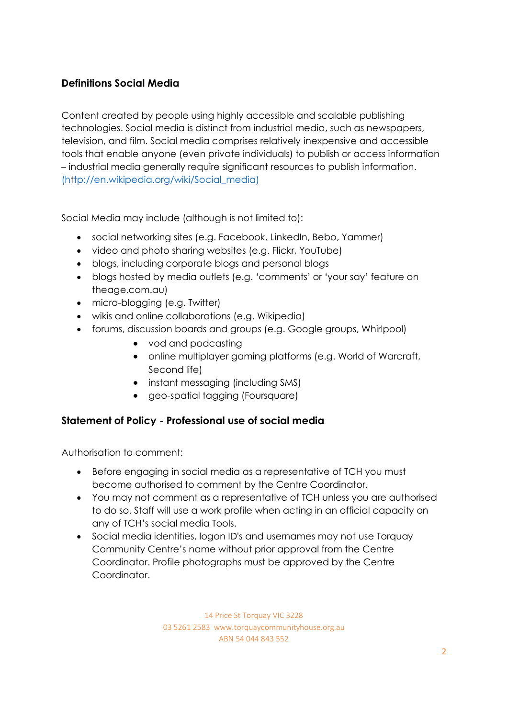# **Definitions Social Media**

Content created by people using highly accessible and scalable publishing technologies. Social media is distinct from industrial media, such as newspapers, television, and film. Social media comprises relatively inexpensive and accessible tools that enable anyone (even private individuals) to publish or access information – industrial media generally require significant resources to publish information[.](http://en.wikipedia.org/wiki/Social_media)) [\(http://en.wikipedia.org/wiki/Social\\_media\)](http://en.wikipedia.org/wiki/Social_media))

Social Media may include (although is not limited to):

- social networking sites (e.g. Facebook, LinkedIn, Bebo, Yammer)
- video and photo sharing websites (e.g. Flickr, YouTube)
- blogs, including corporate blogs and personal blogs
- blogs hosted by media outlets (e.g. 'comments' or 'your say' feature on theage.com.au)
- micro-blogging (e.g. Twitter)
- wikis and online collaborations (e.g. Wikipedia)
- forums, discussion boards and groups (e.g. Google groups, Whirlpool)
	- vod and podcasting
	- online multiplayer gaming platforms (e.g. World of Warcraft, Second life)
	- instant messaging (including SMS)
	- geo-spatial tagging (Foursquare)

## **Statement of Policy - Professional use of social media**

Authorisation to comment:

- Before engaging in social media as a representative of TCH you must become authorised to comment by the Centre Coordinator.
- You may not comment as a representative of TCH unless you are authorised to do so. Staff will use a work profile when acting in an official capacity on any of TCH's social media Tools.
- Social media identities, logon ID's and usernames may not use Torquay Community Centre's name without prior approval from the Centre Coordinator. Profile photographs must be approved by the Centre Coordinator.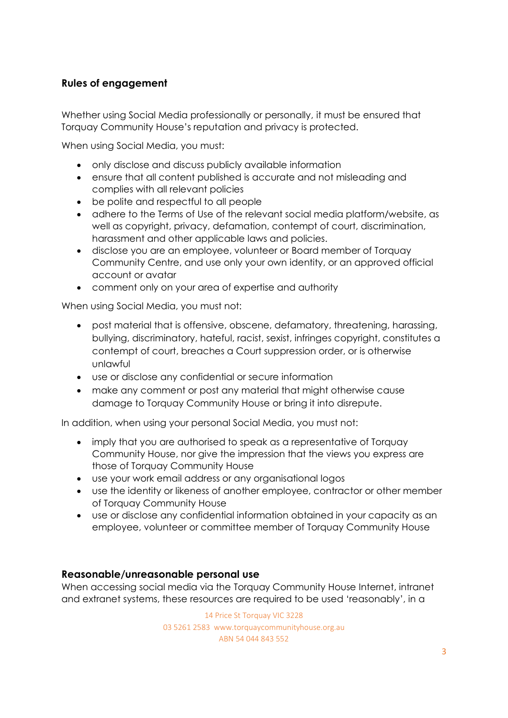# **Rules of engagement**

Whether using Social Media professionally or personally, it must be ensured that Torquay Community House's reputation and privacy is protected.

When using Social Media, you must:

- only disclose and discuss publicly available information
- ensure that all content published is accurate and not misleading and complies with all relevant policies
- be polite and respectful to all people
- adhere to the Terms of Use of the relevant social media platform/website, as well as copyright, privacy, defamation, contempt of court, discrimination, harassment and other applicable laws and policies.
- disclose you are an employee, volunteer or Board member of Torquay Community Centre, and use only your own identity, or an approved official account or avatar
- comment only on your area of expertise and authority

When using Social Media, you must not:

- post material that is offensive, obscene, defamatory, threatening, harassing, bullying, discriminatory, hateful, racist, sexist, infringes copyright, constitutes a contempt of court, breaches a Court suppression order, or is otherwise unlawful
- use or disclose any confidential or secure information
- make any comment or post any material that might otherwise cause damage to Torquay Community House or bring it into disrepute.

In addition, when using your personal Social Media, you must not:

- imply that you are authorised to speak as a representative of Torquay Community House, nor give the impression that the views you express are those of Torquay Community House
- use your work email address or any organisational logos
- use the identity or likeness of another employee, contractor or other member of Torquay Community House
- use or disclose any confidential information obtained in your capacity as an employee, volunteer or committee member of Torquay Community House

#### **Reasonable/unreasonable personal use**

When accessing social media via the Torquay Community House Internet, intranet and extranet systems, these resources are required to be used 'reasonably', in a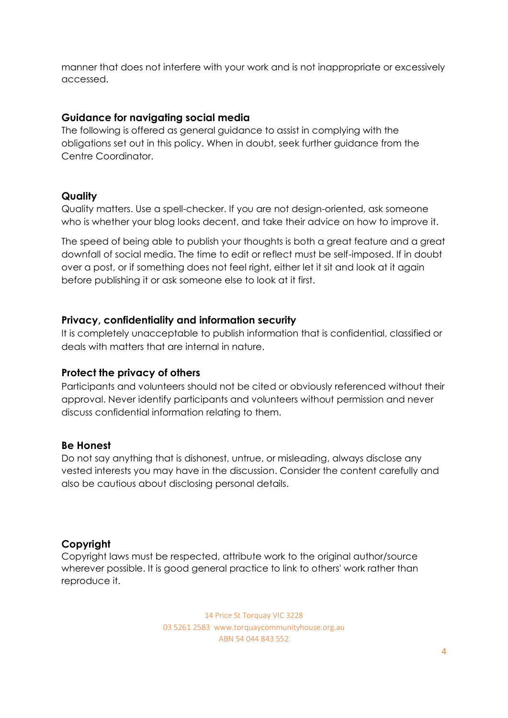manner that does not interfere with your work and is not inappropriate or excessively accessed.

## **Guidance for navigating social media**

The following is offered as general guidance to assist in complying with the obligations set out in this policy. When in doubt, seek further guidance from the Centre Coordinator.

## **Quality**

Quality matters. Use a spell-checker. If you are not design-oriented, ask someone who is whether your blog looks decent, and take their advice on how to improve it.

The speed of being able to publish your thoughts is both a great feature and a great downfall of social media. The time to edit or reflect must be self-imposed. If in doubt over a post, or if something does not feel right, either let it sit and look at it again before publishing it or ask someone else to look at it first.

## **Privacy, confidentiality and information security**

It is completely unacceptable to publish information that is confidential, classified or deals with matters that are internal in nature.

#### **Protect the privacy of others**

Participants and volunteers should not be cited or obviously referenced without their approval. Never identify participants and volunteers without permission and never discuss confidential information relating to them.

#### **Be Honest**

Do not say anything that is dishonest, untrue, or misleading, always disclose any vested interests you may have in the discussion. Consider the content carefully and also be cautious about disclosing personal details.

## **Copyright**

Copyright laws must be respected, attribute work to the original author/source wherever possible. It is good general practice to link to others' work rather than reproduce it.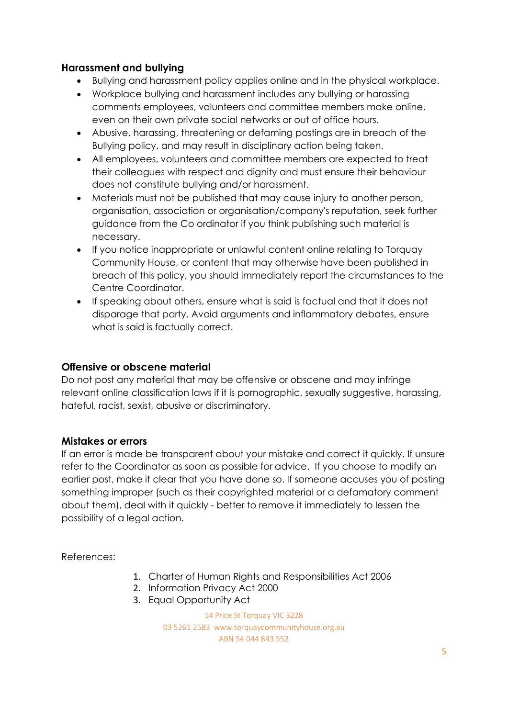# **Harassment and bullying**

- Bullying and harassment policy applies online and in the physical workplace.
- Workplace bullying and harassment includes any bullying or harassing comments employees, volunteers and committee members make online, even on their own private social networks or out of office hours.
- Abusive, harassing, threatening or defaming postings are in breach of the Bullying policy, and may result in disciplinary action being taken.
- All employees, volunteers and committee members are expected to treat their colleagues with respect and dignity and must ensure their behaviour does not constitute bullying and/or harassment.
- Materials must not be published that may cause injury to another person, organisation, association or organisation/company's reputation, seek further guidance from the Co ordinator if you think publishing such material is necessary.
- If you notice inappropriate or unlawful content online relating to Torquay Community House, or content that may otherwise have been published in breach of this policy, you should immediately report the circumstances to the Centre Coordinator.
- If speaking about others, ensure what is said is factual and that it does not disparage that party. Avoid arguments and inflammatory debates, ensure what is said is factually correct.

## **Offensive or obscene material**

Do not post any material that may be offensive or obscene and may infringe relevant online classification laws if it is pornographic, sexually suggestive, harassing, hateful, racist, sexist, abusive or discriminatory.

## **Mistakes or errors**

If an error is made be transparent about your mistake and correct it quickly. If unsure refer to the Coordinator as soon as possible for advice. If you choose to modify an earlier post, make it clear that you have done so. If someone accuses you of posting something improper (such as their copyrighted material or a defamatory comment about them), deal with it quickly - better to remove it immediately to lessen the possibility of a legal action.

References:

- 1. Charter of Human Rights and Responsibilities Act 2006
- 2. Information Privacy Act 2000
- 3. Equal Opportunity Act